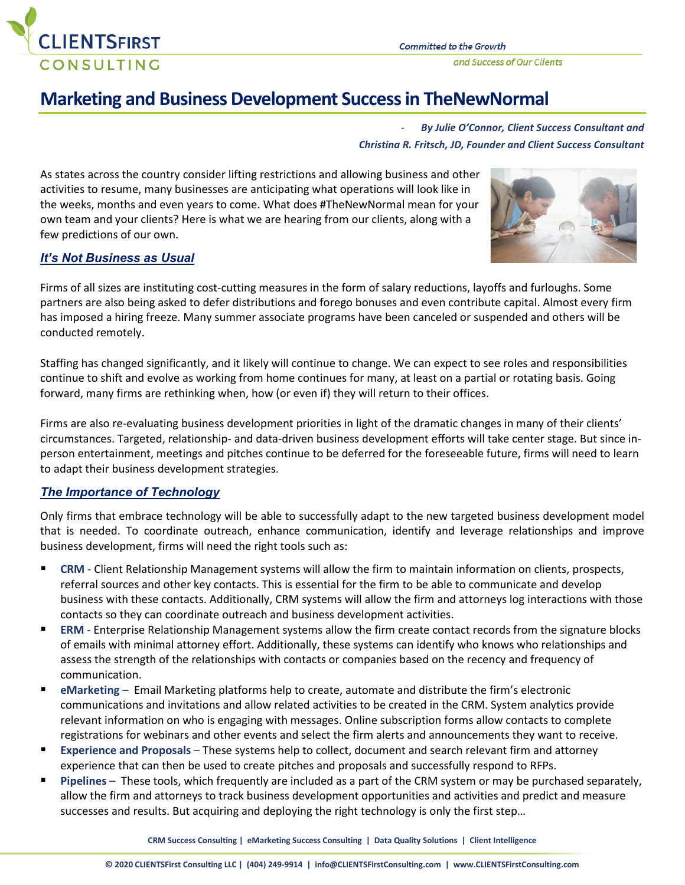

and Success of Our Clients

# **Marketing and Business Development Success in TheNewNormal**

- *By Julie O'Connor, Client Success Consultant and Christina R. Fritsch, JD, Founder and Client Success Consultant*

As states across the country consider lifting restrictions and allowing business and other activities to resume, many businesses are anticipating what operations will look like in the weeks, months and even years to come. What does #TheNewNormal mean for your own team and your clients? Here is what we are hearing from our clients, along with a few predictions of our own.



## *It's Not Business as Usual*

Firms of all sizes are instituting cost-cutting measures in the form of salary reductions, layoffs and furloughs. Some partners are also being asked to defer distributions and forego bonuses and even contribute capital. Almost every firm has imposed a hiring freeze. Many summer associate programs have been canceled or suspended and others will be conducted remotely.

Staffing has changed significantly, and it likely will continue to change. We can expect to see roles and responsibilities continue to shift and evolve as working from home continues for many, at least on a partial or rotating basis. Going forward, many firms are rethinking when, how (or even if) they will return to their offices.

Firms are also re-evaluating business development priorities in light of the dramatic changes in many of their clients' circumstances. Targeted, relationship- and data-driven business development efforts will take center stage. But since inperson entertainment, meetings and pitches continue to be deferred for the foreseeable future, firms will need to learn to adapt their business development strategies.

## *The Importance of Technology*

Only firms that embrace technology will be able to successfully adapt to the new targeted business development model that is needed. To coordinate outreach, enhance communication, identify and leverage relationships and improve business development, firms will need the right tools such as:

- **CRM** Client Relationship Management systems will allow the firm to maintain information on clients, prospects, referral sources and other key contacts. This is essential for the firm to be able to communicate and develop business with these contacts. Additionally, CRM systems will allow the firm and attorneys log interactions with those contacts so they can coordinate outreach and business development activities.
- **ERM** Enterprise Relationship Management systems allow the firm create contact records from the signature blocks of emails with minimal attorney effort. Additionally, these systems can identify who knows who relationships and assess the strength of the relationships with contacts or companies based on the recency and frequency of communication.
- **eMarketing** Email Marketing platforms help to create, automate and distribute the firm's electronic communications and invitations and allow related activities to be created in the CRM. System analytics provide relevant information on who is engaging with messages. Online subscription forms allow contacts to complete registrations for webinars and other events and select the firm alerts and announcements they want to receive.
- **Experience and Proposals** These systems help to collect, document and search relevant firm and attorney experience that can then be used to create pitches and proposals and successfully respond to RFPs.
- **Pipelines**  These tools, which frequently are included as a part of the CRM system or may be purchased separately, allow the firm and attorneys to track business development opportunities and activities and predict and measure successes and results. But acquiring and deploying the right technology is only the first step…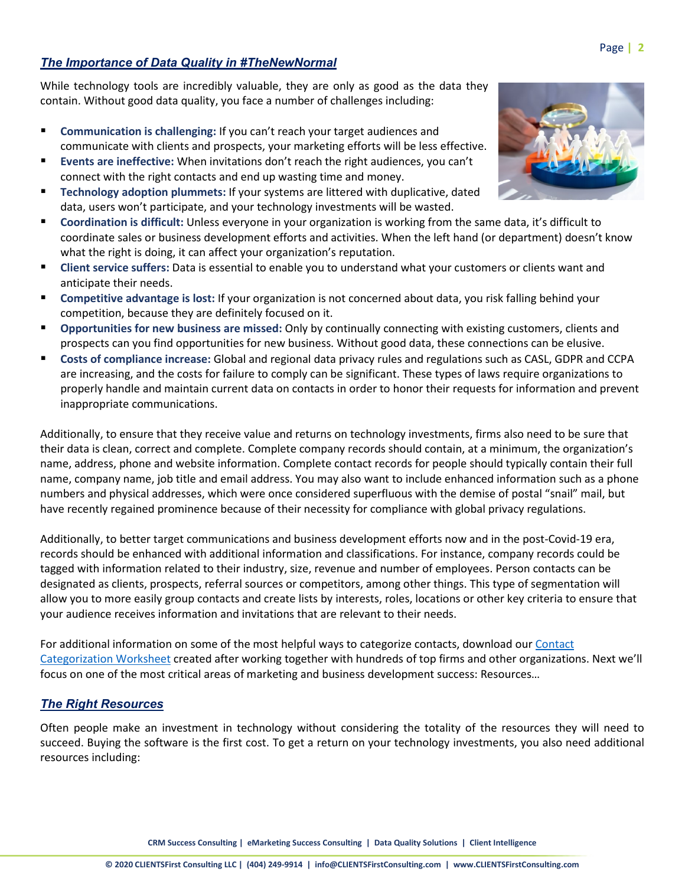## *The Importance of Data Quality in #TheNewNormal*

While technology tools are incredibly valuable, they are only as good as the data they contain. Without good data quality, you face a number of challenges including:

- **Communication is challenging:** If you can't reach your target audiences and communicate with clients and prospects, your marketing efforts will be less effective.
- **Events are ineffective:** When invitations don't reach the right audiences, you can't connect with the right contacts and end up wasting time and money.
- **Technology adoption plummets:** If your systems are littered with duplicative, dated data, users won't participate, and your technology investments will be wasted.
- **Coordination is difficult:** Unless everyone in your organization is working from the same data, it's difficult to coordinate sales or business development efforts and activities. When the left hand (or department) doesn't know what the right is doing, it can affect your organization's reputation.
- **Client service suffers:** Data is essential to enable you to understand what your customers or clients want and anticipate their needs.
- **Competitive advantage is lost:** If your organization is not concerned about data, you risk falling behind your competition, because they are definitely focused on it.
- **Opportunities for new business are missed:** Only by continually connecting with existing customers, clients and prospects can you find opportunities for new business. Without good data, these connections can be elusive.
- **Costs of compliance increase:** Global and regional data privacy rules and regulations such as CASL, GDPR and CCPA are increasing, and the costs for failure to comply can be significant. These types of laws require organizations to properly handle and maintain current data on contacts in order to honor their requests for information and prevent inappropriate communications.

Additionally, to ensure that they receive value and returns on technology investments, firms also need to be sure that their data is clean, correct and complete. Complete company records should contain, at a minimum, the organization's name, address, phone and website information. Complete contact records for people should typically contain their full name, company name, job title and email address. You may also want to include enhanced information such as a phone numbers and physical addresses, which were once considered superfluous with the demise of postal "snail" mail, but have recently regained prominence because of their necessity for compliance with global privacy regulations.

Additionally, to better target communications and business development efforts now and in the post-Covid-19 era, records should be enhanced with additional information and classifications. For instance, company records could be tagged with information related to their industry, size, revenue and number of employees. Person contacts can be designated as clients, prospects, referral sources or competitors, among other things. This type of segmentation will allow you to more easily group contacts and create lists by interests, roles, locations or other key criteria to ensure that your audience receives information and invitations that are relevant to their needs.

For additional information on some of the most helpful ways to categorize contacts, download our Contact [Categorization Worksheet](https://clientsfirstconsulting.com/wp-content/uploads/2020/07/Categories-Categorizing-Contacts-for-CRM-Success-002.pdf) created after working together with hundreds of top firms and other organizations. Next we'll focus on one of the most critical areas of marketing and business development success: Resources…

## *The Right Resources*

Often people make an investment in technology without considering the totality of the resources they will need to succeed. Buying the software is the first cost. To get a return on your technology investments, you also need additional resources including:

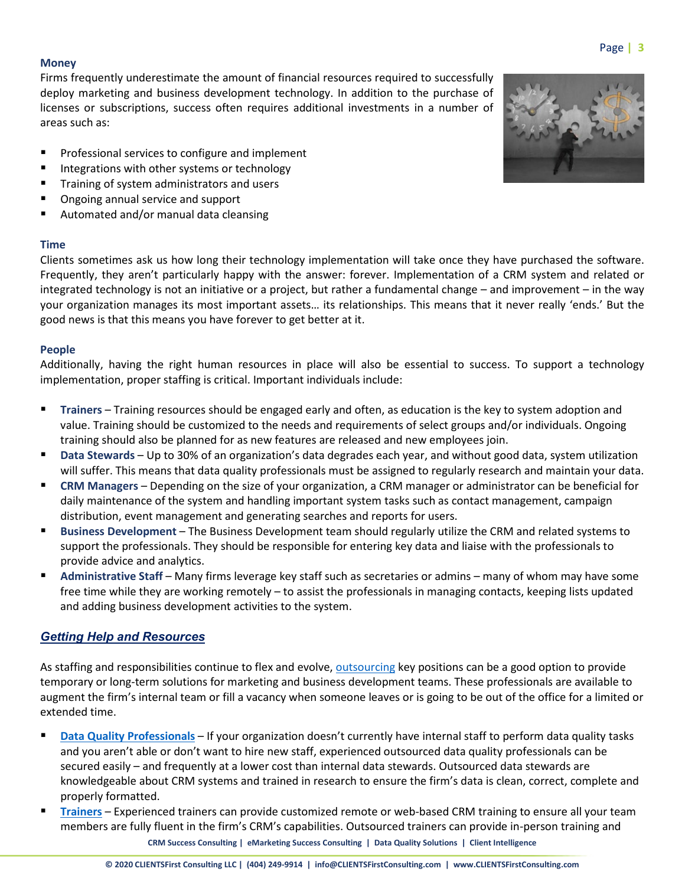#### **Money**

Firms frequently underestimate the amount of financial resources required to successfully deploy marketing and business development technology. In addition to the purchase of licenses or subscriptions, success often requires additional investments in a number of areas such as:

- **Professional services to configure and implement**
- Integrations with other systems or technology
- Training of system administrators and users
- Ongoing annual service and support
- Automated and/or manual data cleansing

#### **Time**

Clients sometimes ask us how long their technology implementation will take once they have purchased the software. Frequently, they aren't particularly happy with the answer: forever. Implementation of a CRM system and related or integrated technology is not an initiative or a project, but rather a fundamental change – and improvement – in the way your organization manages its most important assets… its relationships. This means that it never really 'ends.' But the good news is that this means you have forever to get better at it.

## **People**

Additionally, having the right human resources in place will also be essential to success. To support a technology implementation, proper staffing is critical. Important individuals include:

- **Trainers** Training resources should be engaged early and often, as education is the key to system adoption and value. Training should be customized to the needs and requirements of select groups and/or individuals. Ongoing training should also be planned for as new features are released and new employees join.
- **Data Stewards** Up to 30% of an organization's data degrades each year, and without good data, system utilization will suffer. This means that data quality professionals must be assigned to regularly research and maintain your data.
- **CRM Managers** Depending on the size of your organization, a CRM manager or administrator can be beneficial for daily maintenance of the system and handling important system tasks such as contact management, campaign distribution, event management and generating searches and reports for users.
- **Business Development** The Business Development team should regularly utilize the CRM and related systems to support the professionals. They should be responsible for entering key data and liaise with the professionals to provide advice and analytics.
- **Administrative Staff** Many firms leverage key staff such as secretaries or admins many of whom may have some free time while they are working remotely – to assist the professionals in managing contacts, keeping lists updated and adding business development activities to the system.

## *Getting Help and Resources*

As staffing and responsibilities continue to flex and evolve, [outsourcing](https://clientsfirstconsulting.com/top-benefits-of-outsourcing-marketing-technology-support-part-1-2/) key positions can be a good option to provide temporary or long-term solutions for marketing and business development teams. These professionals are available to augment the firm's internal team or fill a vacancy when someone leaves or is going to be out of the office for a limited or extended time.

- **[Data Quality Professionals](https://clientsfirstconsulting.com/services/true-dq-data-quality-solution/)** If your organization doesn't currently have internal staff to perform data quality tasks and you aren't able or don't want to hire new staff, experienced outsourced data quality professionals can be secured easily – and frequently at a lower cost than internal data stewards. Outsourced data stewards are knowledgeable about CRM systems and trained in research to ensure the firm's data is clean, correct, complete and properly formatted.
- **CRM Success Consulting | eMarketing Success Consulting | Data Quality Solutions | Client Intelligence [Trainers](https://clientsfirstconsulting.com/services/client-relationship-management/reviewing-crm/#training)** – Experienced trainers can provide customized remote or web-based CRM training to ensure all your team members are fully fluent in the firm's CRM's capabilities. Outsourced trainers can provide in-person training and

## Page **| 3**